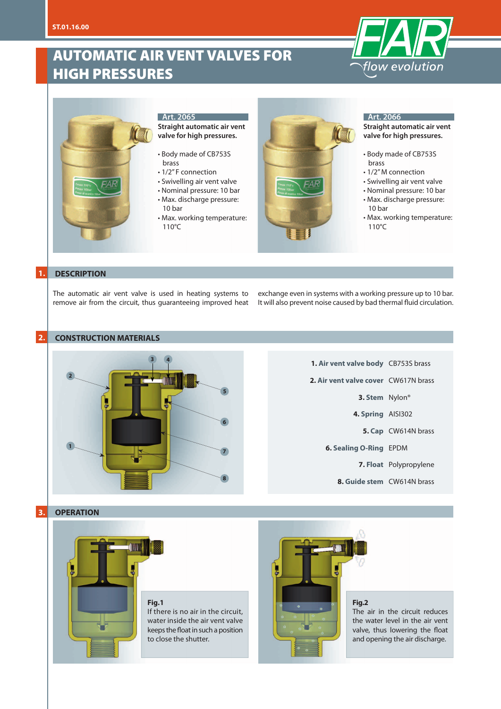# AUTOMATIC AIR VENT VALVES FOR HIGH PRESSURES





# **Art. 2065**

**Straight automatic air vent valve for high pressures.**

- Body made of CB753S brass
- 1/2" F connection
- Swivelling air vent valve
- Nominal pressure: 10 bar
- Max. discharge pressure: 10 bar
- Max. working temperature: 110°C



#### **Art. 2066**

**Straight automatic air vent valve for high pressures.**

- Body made of CB753S brass
- 1/2" M connection
- Swivelling air vent valve
- Nominal pressure: 10 bar
- Max. discharge pressure: 10 bar
- Max. working temperature: 110°C

# **1. DESCRIPTION**

The automatic air vent valve is used in heating systems to remove air from the circuit, thus guaranteeing improved heat

exchange even in systems with a working pressure up to 10 bar. It will also prevent noise caused by bad thermal fluid circulation.

### **2. CONSTRUCTION MATERIALS**



# **1. Air vent valve body** CB753S brass **2. Air vent valve cover** CW617N brass **3. Stem** Nylon® **4. Spring** AISI302 **5. Cap** CW614N brass **6. Sealing O-Ring** EPDM **7. Float** Polypropylene **8. Guide stem** CW614N brass

### **3. OPERATION**



#### **Fig.1**

If there is no air in the circuit, water inside the air vent valve keeps the float in such a position to close the shutter.



#### **Fig.2**

The air in the circuit reduces the water level in the air vent valve, thus lowering the float and opening the air discharge.